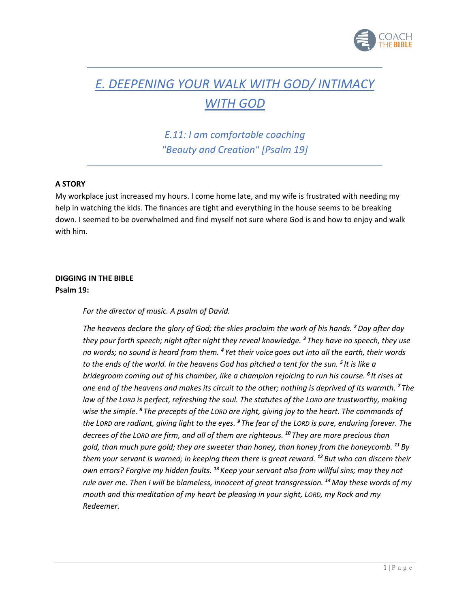

# *E. DEEPENING YOUR WALK WITH GOD/ INTIMACY WITH GOD*

*E.11: I am comfortable coaching "Beauty and Creation" [Psalm 19]*

## **A STORY**

My workplace just increased my hours. I come home late, and my wife is frustrated with needing my help in watching the kids. The finances are tight and everything in the house seems to be breaking down. I seemed to be overwhelmed and find myself not sure where God is and how to enjoy and walk with him.

# **DIGGING IN THE BIBLE Psalm 19:**

*For the director of music. A psalm of David.*

*The heavens declare the glory of God; the skies proclaim the work of his hands. <sup>2</sup>Day after day they pour forth speech; night after night they reveal knowledge. <sup>3</sup> They have no speech, they use no words; no sound is heard from them. <sup>4</sup> Yet their voice goes out into all the earth, their words to the ends of the world. In the heavens God has pitched a tent for the sun. <sup>5</sup> It is like a bridegroom coming out of his chamber, like a champion rejoicing to run his course. <sup>6</sup> It rises at one end of the heavens and makes its circuit to the other; nothing is deprived of its warmth. <sup>7</sup> The law of the LORD is perfect, refreshing the soul. The statutes of the LORD are trustworthy, making wise the simple. <sup>8</sup> The precepts of the LORD are right, giving joy to the heart. The commands of the LORD are radiant, giving light to the eyes. <sup>9</sup> The fear of the LORD is pure, enduring forever. The decrees of the LORD are firm, and all of them are righteous. <sup>10</sup> They are more precious than gold, than much pure gold; they are sweeter than honey, than honey from the honeycomb. <sup>11</sup> By them your servant is warned; in keeping them there is great reward. <sup>12</sup> But who can discern their own errors? Forgive my hidden faults. <sup>13</sup> Keep your servant also from willful sins; may they not rule over me. Then I will be blameless, innocent of great transgression. <sup>14</sup>May these words of my mouth and this meditation of my heart be pleasing in your sight, LORD, my Rock and my Redeemer.*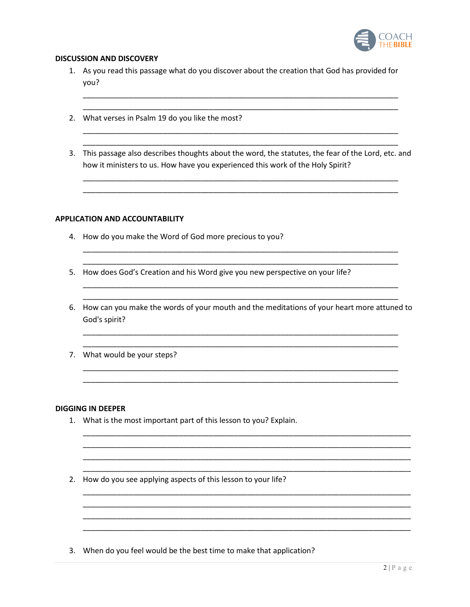

## **DISCUSSION AND DISCOVERY**

- 1. As you read this passage what do you discover about the creation that God has provided for you?
- 2. What verses in Psalm 19 do you like the most?
- 3. This passage also describes thoughts about the word, the statutes, the fear of the Lord, etc. and how it ministers to us. How have you experienced this work of the Holy Spirit?

### **APPLICATION AND ACCOUNTABILITY**

- 4. How do you make the Word of God more precious to you?
- 5. How does God's Creation and his Word give you new perspective on your life?
- 6. How can you make the words of your mouth and the meditations of your heart more attuned to God's spirit?
- 7. What would be your steps?

#### **DIGGING IN DEEPER**

- 1. What is the most important part of this lesson to you? Explain.
- 2. How do you see applying aspects of this lesson to your life?

3. When do you feel would be the best time to make that application?